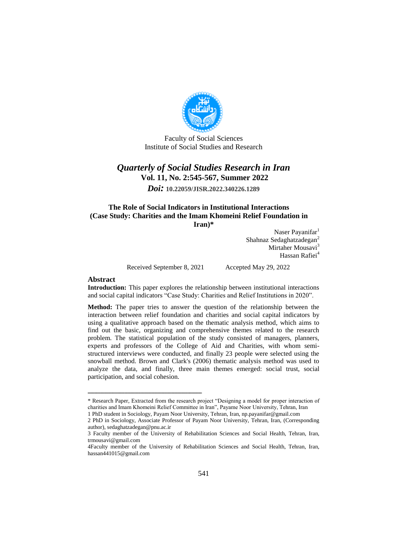

Faculty of Social Sciences Institute of Social Studies and Research

## *Quarterly of Social Studies Research in Iran* **Vol. 11, No. 2:545-567, Summer 2022**

*Doi:* **10.22059/JISR.2022.340226.1289**

### **The Role of Social Indicators in Institutional Interactions (Case Study: Charities and the Imam Khomeini Relief Foundation in Iran)\***

Naser Payanifar<sup>1</sup> Shahnaz Sedaghatzadegan<sup>2</sup> Mirtaher Mousavi $3$ Hassan Rafiei<sup>4</sup>

Received September 8, 2021 Accepted May 29, 2022

ــــــــــــــــــــــــــــــــــــــــــــــــــــــــــــــــــــــــــــــــــــــــــــــــــــــــــــــــــــــــــــــــــــــــــــــــ

#### **Abstract**

**Introduction:** This paper explores the relationship between institutional interactions and social capital indicators "Case Study: Charities and Relief Institutions in 2020".

**Method:** The paper tries to answer the question of the relationship between the interaction between relief foundation and charities and social capital indicators by using a qualitative approach based on the thematic analysis method, which aims to find out the basic, organizing and comprehensive themes related to the research problem. The statistical population of the study consisted of managers, planners, experts and professors of the College of Aid and Charities, with whom semistructured interviews were conducted, and finally 23 people were selected using the snowball method. Brown and Clark's (2006) thematic analysis method was used to analyze the data, and finally, three main themes emerged: social trust, social participation, and social cohesion.

<sup>\*</sup> Research Paper, Extracted from the research project "Designing a model for proper interaction of charities and Imam Khomeini Relief Committee in Iran", Payame Noor University, Tehran, Iran

<sup>1</sup> PhD student in Sociology, Payam Noor University, Tehran, Iran, np.payanifar@gmail.com

<sup>2</sup> PhD in Sociology, Associate Professor of Payam Noor University, Tehran, Iran, (Corresponding author), sedaghatzadegan@pnu.ac.ir

<sup>3</sup> Faculty member of the University of Rehabilitation Sciences and Social Health, Tehran, Iran, trmousavi@gmail.com

<sup>4</sup>Faculty member of the University of Rehabilitation Sciences and Social Health, Tehran, Iran, hassan441015@gmail.com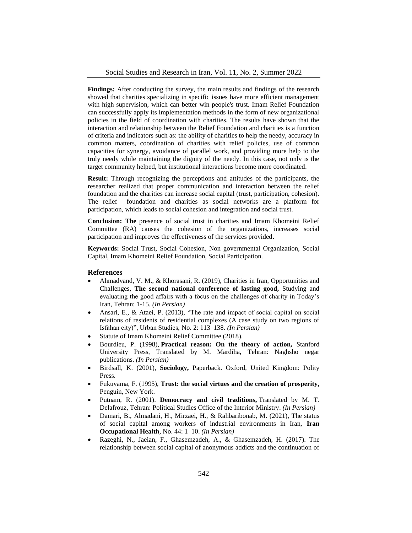Findings: After conducting the survey, the main results and findings of the research showed that charities specializing in specific issues have more efficient management with high supervision, which can better win people's trust. Imam Relief Foundation can successfully apply its implementation methods in the form of new organizational policies in the field of coordination with charities. The results have shown that the interaction and relationship between the Relief Foundation and charities is a function of criteria and indicators such as: the ability of charities to help the needy, accuracy in common matters, coordination of charities with relief policies, use of common capacities for synergy, avoidance of parallel work, and providing more help to the truly needy while maintaining the dignity of the needy. In this case, not only is the target community helped, but institutional interactions become more coordinated.

**Result:** Through recognizing the perceptions and attitudes of the participants, the researcher realized that proper communication and interaction between the relief foundation and the charities can increase social capital (trust, participation, cohesion). The relief foundation and charities as social networks are a platform for participation, which leads to social cohesion and integration and social trust.

**Conclusion: The** presence of social trust in charities and Imam Khomeini Relief Committee (RA) causes the cohesion of the organizations, increases social participation and improves the effectiveness of the services provided.

**Keywords:** Social Trust, Social Cohesion, Non governmental Organization, Social Capital, Imam Khomeini Relief Foundation, Social Participation.

#### **References**

- Ahmadvand, V. M., & Khorasani, R. (2019), Charities in Iran, Opportunities and Challenges, **The second national conference of lasting good,** Studying and evaluating the good affairs with a focus on the challenges of charity in Today's Iran, Tehran: 1-15. *(In Persian)*
- Ansari, E., & Ataei, P. (2013), "The rate and impact of social capital on social relations of residents of residential complexes (A case study on two regions of Isfahan city)", Urban Studies, No. 2: 113–138. *(In Persian)*
- Statute of Imam Khomeini Relief Committee (2018).
- Bourdieu, P. (1998), **Practical reason: On the theory of action,** Stanford University Press, Translated by M. Mardiha, Tehran: Naghsho negar publications. *(In Persian)*
- Birdsall, K. (2001), **Sociology,** Paperback. Oxford, United Kingdom: Polity Press.
- Fukuyama, F. (1995), **Trust: the social virtues and the creation of prosperity,** Penguin, New York.
- Putnam, R. (2001). **Democracy and civil traditions,** Translated by M. T. Delafrouz, Tehran: Political Studies Office of the Interior Ministry. *(In Persian)*
- Damari, B., Almadani, H., Mirzaei, H., & Rahbaribonab, M. (2021), The status of social capital among workers of industrial environments in Iran, **Iran Occupational Health**, No. 44: 1–10. *(In Persian)*
- Razeghi, N., Jaeian, F., Ghasemzadeh, A., & Ghasemzadeh, H. (2017). The relationship between social capital of anonymous addicts and the continuation of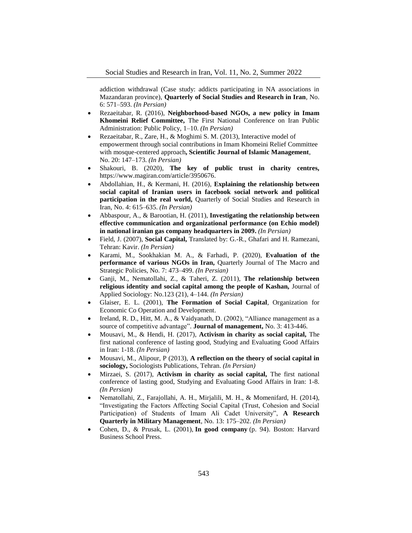addiction withdrawal (Case study: addicts participating in NA associations in Mazandaran province), **Quarterly of Social Studies and Research in Iran**, No. 6: 571–593. *(In Persian)*

- Rezaeitabar, R. (2016), **Neighborhood-based NGOs, a new policy in Imam Khomeini Relief Committee,** The First National Conference on Iran Public Administration: Public Policy, 1–10. *(In Persian)*
- Rezaeitabar, R., Zare, H., & Moghimi S. M. (2013), Interactive model of empowerment through social contributions in Imam Khomeini Relief Committee with mosque-centered approach**, Scientific Journal of Islamic Management**, No. 20: 147–173. *(In Persian)*
- Shakouri, B. (2020), **The key of public trust in charity centres,**  https://www.magiran.com/article/3950676.
- Abdollahian, H., & Kermani, H. (2016), **Explaining the relationship between social capital of Iranian users in facebook social network and political participation in the real world,** Quarterly of Social Studies and Research in Iran, No. 4: 615–635. *(In Persian)*
- Abbaspour, A., & Barootian, H. (2011), **Investigating the relationship between effective communication and organizational performance (on Echio model) in national iranian gas company headquarters in 2009.** *(In Persian)*
- Field, J. (2007), **Social Capital,** Translated by: G.-R., Ghafari and H. Ramezani, Tehran: Kavir. *(In Persian)*
- Karami, M., Sookhakian M. A., & Farhadi, P. (2020), **Evaluation of the performance of various NGOs in Iran,** Quarterly Journal of The Macro and Strategic Policies, No. 7: 473–499. *(In Persian)*
- Ganji, M., Nematollahi, Z., & Taheri, Z. (2011), **The relationship between religious identity and social capital among the people of Kashan,** Journal of Applied Sociology: No.123 (21), 4–144. *(In Persian)*
- Glaiser, E. L. (2001), **The Formation of Social Capital**, Organization for Economic Co Operation and Development.
- Ireland, R. D., Hitt, M. A., & Vaidyanath, D. (2002), "Alliance management as a source of competitive advantage". **Journal of management,** No. 3: 413-446.
- Mousavi, M., & Hendi, H. (2017), **Activism in charity as social capital,** The first national conference of lasting good, Studying and Evaluating Good Affairs in Iran: 1-18. *(In Persian)*
- Mousavi, M., Alipour, P (2013), **A reflection on the theory of social capital in sociology,** Sociologists Publications, Tehran. *(In Persian)*
- Mirzaei, S. (2017), **Activism in charity as social capital,** The first national conference of lasting good, Studying and Evaluating Good Affairs in Iran: 1-8. *(In Persian)*
- Nematollahi, Z., Farajollahi, A. H., Mirjalili, M. H., & Momenifard, H. (2014), "Investigating the Factors Affecting Social Capital (Trust, Cohesion and Social Participation) of Students of Imam Ali Cadet University", **A Research Quarterly in Military Management**, No. 13: 175–202. *(In Persian)*
- Cohen, D., & Prusak, L. (2001), **In good company** (p. 94). Boston: Harvard Business School Press.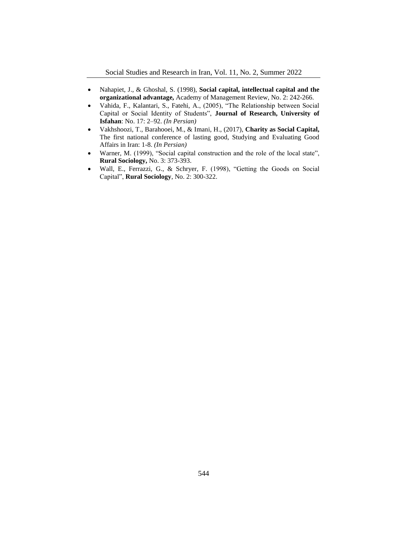- Nahapiet, J., & Ghoshal, S. (1998), **Social capital, intellectual capital and the organizational advantage,** Academy of Management Review, No. 2: 242-266.
- Vahida, F., Kalantari, S., Fatehi, A., (2005), "The Relationship between Social Capital or Social Identity of Students", **Journal of Research, University of Isfahan**: No. 17: 2–92. *(In Persian)*
- Vakhshoozi, T., Barahooei, M., & Imani, H., (2017), **Charity as Social Capital,**  The first national conference of lasting good, Studying and Evaluating Good Affairs in Iran: 1-8. *(In Persian)*
- Warner, M. (1999), "Social capital construction and the role of the local state", **Rural Sociology,** No. 3: 373-393.
- Wall, E., Ferrazzi, G., & Schryer, F. (1998), "Getting the Goods on Social Capital", **Rural Sociology**, No. 2: 300-322.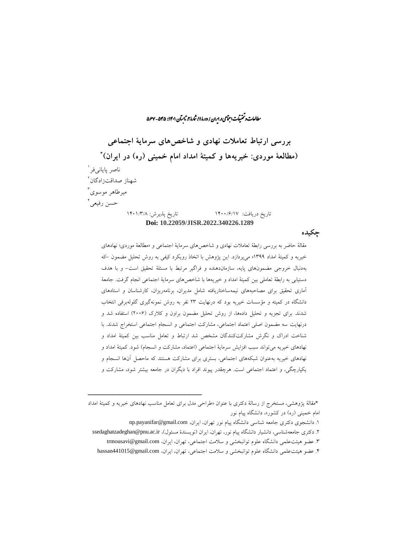راالعات و تحقیقات اجتماعی در ایران / دورۀ ۱۱، ثمارۀ ۲، ثابسآن ۱۴۰۱: ۵۴۵ - ۵۶۷. ما ش

**بررسی ارتباط تعامالت نهادی و شاخصهای سرمایۀ اجتماعی \* )مطالعۀ موردی: خیریهها و کمیتۀ امداد امام خمینی )ره( در ایران(** ناصر پایان*ی*فر<sup>ا</sup> 2 شهناز صداقتزادگان 3 میرطاهر موسوی حسن رفیعی <sup>ا</sup> تاریخ دریافت: 1400/6/17 تاریخ پذیرش: 1401/3/8 **Doi: 10.22059/JISR.2022.340226.1289**

**چکیده**

مقالۀ حاضر به بررسی رابطۀ تعامالت نهادی و شاخصهای سرمایۀ اجتماعی و »مطالعۀ موردی؛ نهادهای خیریه و کمیتۀ امداد 1399« میپردازد. این پژوهش با اتخاذ رویکرد کیفی به روش تحلیل مضمون -که بهدنبال خروجی مضمونهای پایه، سازماندهنده و فراگیر مرتبط با مسئلۀ تحقیق است- و با هدف دستیابی به رابطۀ تعاملی بین کمیتۀ امداد و خیریهها با شاخصهای سرمایۀ اجتماعی انجام گرفت. جامعۀ آماری تحقیق برای مصاحبههای نیمهساختاریافته شامل مدیران، برنامهریزان، کارشناسان و استادهای دانشگاه در کمیته و مؤسسات خیریه بود که درنهایت 23 نفر به روش نمونهگیری گلولهبرفی انتخاب شدند. برای تجزیه و تحلیل دادهها، از روش تحلیل مضمون براون و کالرک )2006( استفاده شد و درنهایت سه مضمون اصلی اعتماد اجتماعی، مشارکت اجتماعی و انسجام اجتماعی استخراج شدند. با شناخت ادراک و نگرش مشارکتکنندگان مشخص شد ارتباط و تعامل مناسب بین کمیتۀ امداد و نهادهای خیریه میتواند سبب افزایش سرمایۀ اجتماعی (اعتماد، مشارکت و انسجام) شود. کمیتۀ امداد و نهادهای خیریه بهعنوان شبکههای اجتماعی، بستری برای مشارکت هستند که ماحصل آنها انسجام و یکپارچگی، و اعتماد اجتماعی است. هرچقدر پیوند افراد با دیگران در جامعه بیشتر شود، مشارکت و

- 1. دانشجوی دکتری جامعه شناسی دانشگاه پیام نور تهران، ایران، np.payanifar@gmail.com
- ۲. دکتری جامعهشناسی، دانشیار دانشگاه پیام نور، تهران، ایران (نویسندۀ مسئول)، ssedaghatzadeghan@pnu.ac.ir
	- .3 عضو هیئتعلمی دانشگاه علوم توانبخشی و سالمت اجتماعی، تهران، ایران، com.gmail@trmousavi
	- .4 عضو هیئتعلمی دانشگاه علوم توانبخشی و سالمت اجتماعی، تهران، ایران، com.gmail@441015hassan

<sup>\*</sup>مقالۀ پژوهشی، مستخرج از رسالۀ دکتری با عنوان »طراحی مدل برای تعامل مناسب نهادهای خیریه و کمیتۀ امداد امام خمینی (ره) در کشور»، دانشگاه پیام نور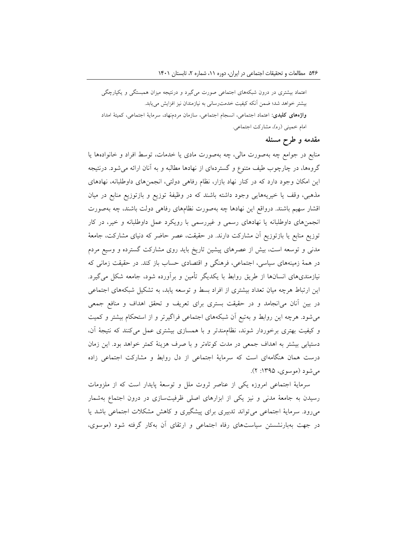اعتماد بیشتری در درون شبکههای اجتماعی صورت میگیرد و درنتیجه میزان همبستگی و یکپارچگی بیشتر خواهد شد؛ ضمن آنکه کیفیت خدمترسانی به نیازمندان نیز افزایش مییابد. **واژههای کلیدی:** اعتماد اجتماعی، انسجام اجتماعی، سازمان مردمنهاد، سرمایۀ اجتماعی، کمیتۀ امداد امام خمینی (ره)، مشارکت اجتماعی.

### **مقدمه و طرح مسئله**

منابع در جوامع چه بهصورت مالی، چه بهصورت مادی یا خدمات، توسط افراد و خانوادهها یا گروهها، در چارچوب طیف متنوع و گستردهای از نهادها مطالبه و به آنان ارائه میشود. درنتیجه این امکان وجود دارد که در کنار نهاد بازار، نظام رفاهی دولتی، انجمنهای داوطلبانه، نهادهای مذهبی، وقف یا خیریههایی وجود داشته باشند که در وظیفۀ توزیع و بازتوزیع منابع در میان اقشار سهیم باشند. درواقع این نهادها چه بهصورت نظامهای رفاهی دولت باشند، چه بهصورت انجمنهای داوطلبانه یا نهادهای رسمی و غیررسمی با رویکرد عمل داوطلبانه و خیر، در کار توزیع منابع یا بازتوزیع آن مشارکت دارند. در حقیقت، عصر حاضر که دنیای مشارکت، جامعۀ مدنی و توسعه است، بیش از عصرهای پیشین تاریخ باید روی مشارکت گسترده و وسیع مردم در همۀ زمینههای سیاسی، اجتماعی، فرهنگی و اقتصادی حساب باز کند. در حقیقت زمانی که نیازمندیهای انسانها از طریق روابط با یکدیگر تأمین و برآورده شود، جامعه شکل میگیرد. این ارتباط هرچه میان تعداد بیشتری از افراد بسط و توسعه یابد، به تشکیل شبکههای اجتماعی در بین آنان میانجامد و در حقیقت بستری برای تعریف و تحقق اهداف و منافع جمعی میشود. هرچه این روابط و بهتبع آن شبکههای اجتماعی فراگیرتر و از استحکام بیشتر و کمیت و کیفیت بهتری برخوردار شوند، نظاممندتر و با همسازی بیشتری عمل میکنند که نتیجۀ آن، دستیابی بیشتر به اهداف جمعی در مدت کوتاهتر و با صرف هزینۀ کمتر خواهد بود. این زمان درست همان هنگامهای است که سرمایۀ اجتماعی از دل روابط و مشارکت اجتماعی زاده می شود (موسوی، ۱۳۹۵: ۲).

سرمایۀ اجتماعی امروزه یکی از عناصر ثروت ملل و توسعۀ پایدار است که از ملزومات رسیدن به جامعۀ مدنی و نیز یکی از ابزارهای اصلی ظرفیتسازی در درون اجتماع بهشمار میرود. سرمایۀ اجتماعی میتواند تدبیری برای پیشگیری و کاهش مشکالت اجتماعی باشد یا در جهت بهبارنشستن سیاستهای رفاه اجتماعی و ارتقای آن بهکار گرفته شود )موسوی،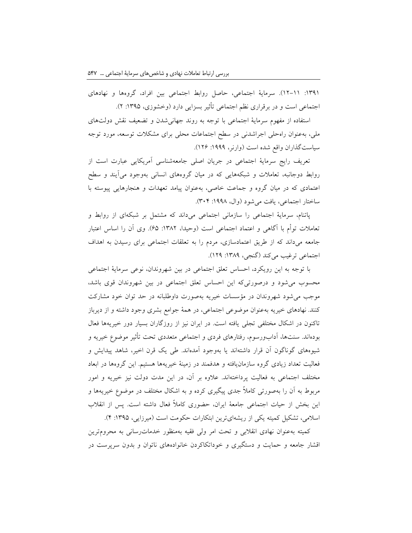:1391 12-11(. سرمایۀ اجتماعی، حاصل روابط اجتماعی بین افراد، گروهها و نهادهای اجتماعی است و در برقراری نظم اجتماعی تأثیر بسزایی دارد (وخشوزی، ۱۳۹۵: ۲).

استفاده از مفهوم سرمایۀ اجتماعی با توجه به روند جهانیشدن و تضعیف نقش دولتهای ملی، بهعنوان راهحلی اجراشدنی در سطح اجتماعات محلی برای مشکالت توسعه، مورد توجه سیاستگذاران واقع شده است (وارنر، ۱۹۹۹: ۱۲۶).

تعریف رایج سرمایۀ اجتماعی در جریان اصلی جامعهشناسی آمریکایی عبارت است از روابط دوجانبه، تعامالت و شبکههایی که در میان گروههای انسانی بهوجود میآیند و سطح اعتمادی که در میان گروه و جماعت خاصی، بهعنوان پیامد تعهدات و هنجارهایی پیوسته با ساختار اجتماعی، یافت می شود (وال، ۱۹۹۸: ۳۰۴).

پاتنام، سرمایۀ اجتماعی را سازمانی اجتماعی میداند که مشتمل بر شبکهای از روابط و تعاملات توأم با آگاهی و اعتماد اجتماعی است (وحیدا، ۱۳۸۲: ۶۵). وی آن را اساس اعتبار جامعه میداند که از طریق اعتمادسازی، مردم را به تعلقات اجتماعی برای رسیدن به اهداف اجتماعی ترغیب میکند (گنجی، ۱۳۸۹: ۱۲۹).

با توجه به این رویکرد، احساس تعلق اجتماعی در بین شهروندان، نوعی سرمایۀ اجتماعی محسوب میشود و درصورتیکه این احساس تعلق اجتماعی در بین شهروندان قوی باشد، موجب میشود شهروندان در مؤسسات خیریه بهصورت داوطلبانه در حد توان خود مشارکت کنند. نهادهای خیریه بهعنوان موضوعی اجتماعی، در همۀ جوامع بشری وجود داشته و از دیرباز تاکنون در اشکال مختلفی تجلی یافته است. در ایران نیز از روزگاران بسیار دور خیریهها فعال بودهاند. سنتها، آدابورسوم، رفتارهای فردی و اجتماعی متعددی تحت تأثیر موضوع خیریه و شیوههای گوناگون آن قرار داشتهاند یا بهوجود آمدهاند. طی یک قرن اخیر، شاهد پیدایش و فعالیت تعداد زیادی گروه سازمانیافته و هدفمند در زمینۀ خیریهها هستیم. این گروهها در ابعاد مختلف اجتماعی به فعالیت پرداختهاند. عالوه بر آن، در این مدت دولت نیز خیریه و امور مربوط به آن را بهصورتی کامالً جدی پیگیری کرده و به اشکال مختلف در موضوع خیریهها و این بخش از حیات اجتماعی جامعۀ ایران، حضوری کامالً فعال داشته است. پس از انقالب اسلامی، تشکیل کمیته یکی از ریشهایترین ابتکارات حکومت است (میرزایی، ۱۳۹۵: ۴).

کمیته بهعنوان نهادی انقالبی و تحت امر ولی فقیه بهمنظور خدماترسانی به محرومترین اقشار جامعه و حمایت و دستگیری و خوداتکاکردن خانوادههای ناتوان و بدون سرپرست در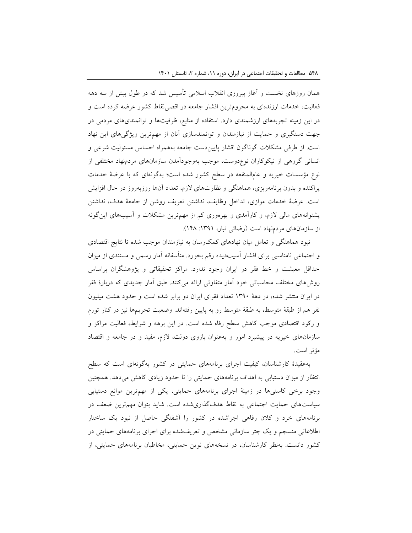همان روزهای نخست و آغاز پیروزی انقالب اسالمی تأسیس شد که در طول بیش از سه دهه فعالیت، خدمات ارزندهای به محرومترین اقشار جامعه در اقصینقاط کشور عرضه کرده است و در این زمینه تجربههای ارزشمندی دارد. استفاده از منابع، ظرفیتها و توانمندیهای مردمی در جهت دستگیری و حمایت از نیازمندان و توانمندسازی آنان از مهمترین ویژگیهای این نهاد است. از طرفی مشکالت گوناگون اقشار پاییندست جامعه بههمراه احساس مسئولیت شرعی و انسانی گروهی از نیکوکاران نوعدوست، موجب بهوجودآمدن سازمانهای مردمنهاد مختلفی از نوع مؤسسات خیریه و عامالمنفعه در سطح کشور شده است؛ بهگونهای که با عرضۀ خدمات پراکنده و بدون برنامهریزی، هماهنگی و نظارتهای الزم، تعداد آنها روزبهروز در حال افزایش است. عرضۀ خدمات موازی، تداخل وظایف، نداشتن تعریف روشن از جامعۀ هدف، نداشتن پشتوانههای مالی الزم، و کارآمدی و بهرهوری کم از مهمترین مشکالت و آسیبهای اینگونه از سازمانهای مردمنهاد است (رضائی تبار، ۱۳۹۱: ۱۴۸).

نبود هماهنگی و تعامل میان نهادهای کمکرسان به نیازمندان موجب شده تا نتایج اقتصادی و اجتماعی نامناسبی برای اقشار آسیبدیده رقم بخورد. متأسفانه آمار رسمی و مستندی از میزان حداقل معیشت و خط فقر در ایران وجود ندارد. مراکز تحقیقاتی و پژوهشگران براساس روشهای مختلف محاسباتی خود آمار متفاوتی ارائه میکنند. طبق آمار جدیدی که دربارۀ فقر در ایران منتشر شده، در دهۀ 1390 تعداد فقرای ایران دو برابر شده است و حدود هشت میلیون نفر هم از طبقۀ متوسط، به طبقۀ متوسط رو به پایین رفتهاند. وضعیت تحریمها نیز در کنار تورم و رکود اقتصادی موجب کاهش سطح رفاه شده است. در این برهه و شرایط، فعالیت مراکز و سازمانهای خیریه در پیشبرد امور و بهعنوان بازوی دولت، الزم، مفید و در جامعه و اقتصاد مؤثر است.

بهعقیدۀ کارشناسان، کیفیت اجرای برنامههای حمایتی در کشور بهگونهای است که سطح انتظار از میزان دستیابی به اهداف برنامههای حمایتی را تا حدود زیادی کاهش میدهد. همچنین وجود برخی کاستیها در زمینۀ اجرای برنامههای حمایتی، یکی از مهمترین موانع دستیابی سیاستهای حمایت اجتماعی به نقاط هدفگذاریشده است. شاید بتوان مهمترین ضعف در برنامههای خرد و کالن رفاهی اجراشده در کشور را آشفتگی حاصل از نبود یک ساختار اطالعاتی منسجم و یک چتر سازمانی مشخص و تعریفشده برای اجرای برنامههای حمایتی در کشور دانست. بهنظر کارشناسان، در نسخههای نوین حمایتی، مخاطبان برنامههای حمایتی، از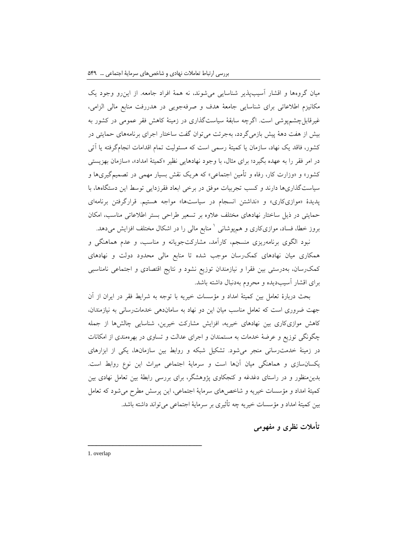میان گروهها و اقشار آسیبپذیر شناسایی میشوند، نه همۀ افراد جامعه. از اینرو وجود یک مکانیزم اطالعاتی برای شناسایی جامعۀ هدف و صرفهجویی در هدررفت منابع مالی الزامی، غیرقابلچشمپوشی است. اگرچه سابقۀ سیاستگذاری در زمینۀ کاهش فقر عمومی در کشور به بیش از هفت دهۀ پیش بازمیگردد، بهجرئت میتوان گفت ساختار اجرای برنامههای حمایتی در کشور، فاقد یک نهاد، سازمان یا کمیتۀ رسمی است که مسئولیت تمام اقدامات انجامگرفته یا آتی در امر فقر را به عهده بگیرد؛ برای مثال، با وجود نهادهایی نظیر »کمیتۀ امداد«، »سازمان بهزیستی کشور« و »وزارت کار، رفاه و تأمین اجتماعی« که هریک نقش بسیار مهمی در تصمیمگیریها و سیاستگذاریها دارند و کسب تجربیات موفق در برخی ابعاد فقرزدایی توسط این دستگاهها، با پدیدۀ «موازیکاری» و «نداشتن انسجام در سیاستها» مواجه هستیم. قرارگرفتن برنامهای حمایتی در ذیل ساختار نهادهای مختلف عالوه بر تسعیر طراحی بستر اطالعاتی مناسب، امکان بروز خطا، فساد، موازیکاری و همپوشانی <sup>۱</sup> منابع مالی را در اشکال مختلف افزایش میدهد.

نبود الگوی برنامهریزی منسجم، کارآمد، مشارکتجویانه و مناسب، و عدم هماهنگی و همکاری میان نهادهای کمکرسان موجب شده تا منابع مالی محدود دولت و نهادهای کمکرسان، بهدرستی بین فقرا و نیازمندان توزیع نشود و نتایج اقتصادی و اجتماعی نامناسبی برای اقشار آسیبدیده و محروم بهدنبال داشته باشد.

بحث دربارۀ تعامل بین کمیتۀ امداد و مؤسسات خیریه با توجه به شرایط فقر در ایران از آن جهت ضروری است که تعامل مناسب میان این دو نهاد به ساماندهی خدماترسانی به نیازمندان، کاهش موازیکاری بین نهادهای خیریه، افزایش مشارکت خیرین، شناسایی چالشها از جمله چگونگی توزیع و عرضۀ خدمات به مستمندان و اجرای عدالت و تساوی در بهرهمندی از امکانات در زمینۀ خدمترسانی منجر میشود. تشکیل شبکه و روابط بین سازمانها، یکی از ابزارهای یکسانسازی و هماهنگی میان آنها است و سرمایۀ اجتماعی میراث این نوع روابط است. بدینمنظور و در راستای دغدغه و کنجکاوی پژوهشگر، برای بررسی رابطۀ بین تعامل نهادی بین کمیتۀ امداد و مؤسسات خیریه و شاخصهای سرمایۀ اجتماعی، این پرسش مطرح میشود که تعامل بین کمیتۀ امداد و مؤسسات خیریه چه تأثیری بر سرمایۀ اجتماعی میتواند داشته باشد.

**تأمالت نظری و مفهومی**

1. overlap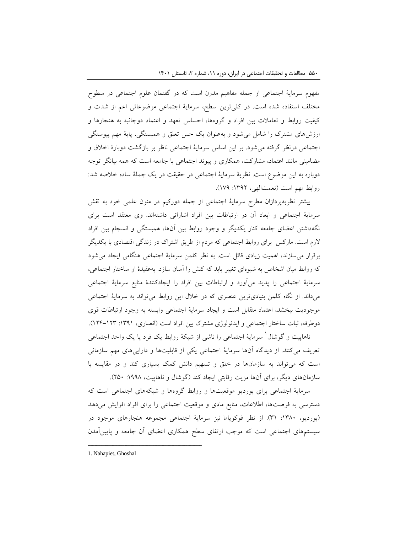مفهوم سرمایۀ اجتماعی از جمله مفاهیم مدرن است که در گفتمان علوم اجتماعی در سطوح مختلف استفاده شده است. در کلیترین سطح، سرمایۀ اجتماعی موضوعاتی اعم از شدت و کیفیت روابط و تعامالت بین افراد و گروهها، احساس تعهد و اعتماد دوجانبه به هنجارها و ارزشهای مشترک را شامل میشود و بهعنوان یک حس تعلق و همبستگی، پایۀ مهم پیوستگی اجتماعی درنظر گرفته میشود. بر این اساس سرمایۀ اجتماعی ناظر بر بازگشت دوبارۀ اخالق و مضامینی مانند اعتماد، مشارکت، همکاری و پیوند اجتماعی با جامعه است که همه بیانگر توجه دوباره به این موضوع است. نظریۀ سرمایۀ اجتماعی در حقیقت در یک جملۀ ساده خالصه شد: روابط مهم است (نعمتالهی، ١٣٩٢: ١٧٩).

بیشتر نظریهپردازان مطرح سرمایۀ اجتماعی از جمله دورکیم در متون علمی خود به نقش سرمایۀ اجتماعی و ابعاد آن در ارتباطات بین افراد اشاراتی داشتهاند. وی معتقد است برای نگهداشتن اعضای جامعه کنار یکدیگر و وجود روابط بین آنها، همبستگی و انسجام بین افراد الزم است. مارکس برای روابط اجتماعی که مردم از طریق اشتراک در زندگی اقتصادی با یکدیگر برقرار میسازند، اهمیت زیادی قائل است. به نظر کلمن سرمایۀ اجتماعی هنگامی ایجاد میشود که روابط میان اشخاص به شیوهای تغییر یابد که کنش را آسان سازد. بهعقیدۀ او ساختار اجتماعی، سرمایۀ اجتماعی را پدید میآورد و ارتباطات بین افراد را ایجادکنندۀ منابع سرمایۀ اجتماعی میداند. از نگاه کلمن بنیادیترین عنصری که در خالل این روابط میتواند به سرمایۀ اجتماعی موجودیت ببخشد، اعتماد متقابل است و ایجاد سرمایۀ اجتماعی وابسته به وجود ارتباطات قوی دوطرفه، ثبات ساختار اجتماعی و ایدئولوژی مشترک بین افراد است )انصاری، :1391 124-123(.

ناهاپیت و گوشال<sup>'</sup> سرمایۀ اجتماعی را ناشی از شبکۀ روابط یک فرد یا یک واحد اجتماعی تعریف میکنند. از دیدگاه آنها سرمایۀ اجتماعی یکی از قابلیتها و داراییهای مهم سازمانی است که میتواند به سازمانها در خلق و تسهیم دانش کمک بسیاری کند و در مقایسه با سازمانهای دیگر، برای آنها مزیت رقابتی ایجاد کند (گوشال و ناهاپیت، ۱۹۹۸: ۲۵۰).

سرمایۀ اجتماعی برای بوردیو موقعیتها و روابط گروهها و شبکههای اجتماعی است که دسترسی به فرصتها، اطالعات، منابع مادی و موقعیت اجتماعی را برای افراد افزایش میدهد )بوردیو، :1380 31(. از نظر فوکویاما نیز سرمایۀ اجتماعی مجموعه هنجارهای موجود در سیستمهای اجتماعی است که موجب ارتقای سطح همکاری اعضای آن جامعه و پایینآمدن

<sup>1.</sup> Nahapiet, Ghoshal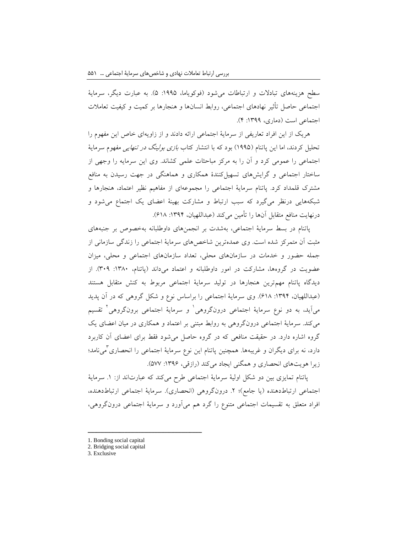سطح هزینههای تبادالت و ارتباطات میشود )فوکویاما، :1995 5(. به عبارت دیگر، سرمایۀ اجتماعی حاصل تأثیر نهادهای اجتماعی، روابط انسانها و هنجارها بر کمیت و کیفیت تعامالت اجتماعی است )دماری، :1399 4(.

هریک از این افراد تعاریفی از سرمایۀ اجتماعی ارائه دادند و از زاویهای خاص این مفهوم را تحلیل کردند، اما این پاتنام (۱۹۹۵) بود که با انتشار کتاب *بازی بولینگ در تنهایی مفه*وم سرمایۀ اجتماعی را عمومی کرد و آن را به مرکز مباحثات علمی کشاند. وی این سرمایه را وجهی از ساختار اجتماعی و گرایشهای تسهیلکنندۀ همکاری و هماهنگی در جهت رسیدن به منافع مشترک قلمداد کرد. پاتنام سرمایۀ اجتماعی را مجموعهای از مفاهیم نظیر اعتماد، هنجارها و شبکههایی درنظر میگیرد که سبب ارتباط و مشارکت بهینۀ اعضای یک اجتماع میشود و درنهایت منافع متقابل آنها را تأمین میکند (عبداللهیان، ۱۳۹۴: ۶۱۸).

پاتنام در بسط سرمایۀ اجتماعی، بهشدت بر انجمنهای داوطلبانه بهخصوص بر جنبههای مثبت آن متمرکز شده است. وی عمدهترین شاخصهای سرمایۀ اجتماعی را زندگی سازمانی از جمله حضور و خدمات در سازمانهای محلی، تعداد سازمانهای اجتماعی و محلی، میزان عضویت در گروهها، مشارکت در امور داوطلبانه و اعتماد می داند (پاتنام، ۱۳۸۰: ۳۰۹). از دیدگاه پاتنام مهمترین هنجارها در تولید سرمایۀ اجتماعی مربوط به کنش متقابل هستند )عبداللهیان، :1394 618(. وی سرمایۀ اجتماعی را براساس نوع و شکل گروهی که در آن پدید می]ید، به دو نوع سرمایۀ اجتماعی درونگروهی` و سرمایۀ اجتماعی برونگروهی` تقسیم میکند. سرمایۀ اجتماعی درونگروهی به روابط مبتنی بر اعتماد و همکاری در میان اعضای یک گروه اشاره دارد. در حقیقت منافعی که در گروه حاصل میشود فقط برای اعضای آن کاربرد دارد، نه برای دیگران و غریبهها. همچنین پاتنام این نوع سرمایۀ اجتماعی را انحصاری کمیiامد؛ زیرا هویتهای انحصاری و همگنی ایجاد میکند (رازقی، ۱۳۹۶: ۵۷۷).

پاتنام تمایزی بین دو شکل اولیۀ سرمایۀ اجتماعی طرح میکند که عبارتاند از: .1 سرمایۀ اجتماعی ارتباطدهنده (یا جامع)؛ ۲. درونگروهی (انحصاری). سرمایۀ اجتماعی ارتباطدهنده، افراد متعلق به تقسیمات اجتماعی متنوع را گرد هم میآورد و سرمایۀ اجتماعی درونگروهی،

<sup>1.</sup> Bonding social capital

<sup>2.</sup> Bridging social capital

<sup>3.</sup> Exclusive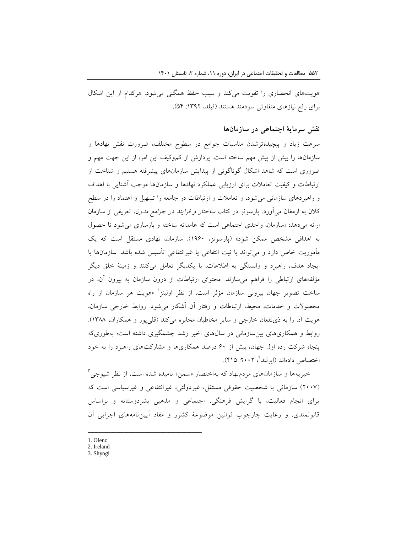هویتهای انحصاری را تقویت میکند و سبب حفظ همگنی میشود. هرکدام از این اشکال برای رفع نیازهای متفاوتی سودمند هستند )فیلد، :1392 54(.

### **نقش سرمایۀ اجتماعی در سازمانها**

سرعت زیاد و پیچیدهترشدن مناسبات جوامع در سطوح مختلف، ضرورت نقش نهادها و سازمانها را بیش از پیش مهم ساخته است. پردازش از کموکیف این امر، از این جهت مهم و ضروری است که شاهد اشکال گوناگونی از پیدایش سازمانهای پیشرفته هستیم و شناخت از ارتباطات و کیفیت تعامالت برای ارزیابی عملکرد نهادها و سازمانها موجب آشنایی با اهداف و راهبردهای سازمانی میشود، و تعامالت و ارتباطات در جامعه را تسهیل و اعتماد را در سطح کالن به ارمغان میآورد. پارسونز در کتاب ساختار و فرایند در جوامع مدرن، تعریفی از سازمان ارائه میدهد: »سازمان، واحدی اجتماعی است که عامدانه ساخته و بازسازی میشود تا حصول به اهدافی مشخص ممکن شود« )پارسونز، 1960(. سازمان، نهادی مستقل است که یک مأموریت خاص دارد و میتواند با نیت انتفاعی یا غیرانتفاعی تأسیس شده باشد. سازمانها با ایجاد هدف، راهبرد و وابستگی به اطالعات، با یکدیگر تعامل میکنند و زمینۀ خلق دیگر مؤلفههای ارتباطی را فراهم میسازند. محتوای ارتباطات از درون سازمان به بیرون آن، در ساخت تصویر جهان بیرونی سازمان مؤثر است. از نظر اولینز<sup>۱</sup> «هویت هر سازمان از راه محصوالت و خدمات، محیط، ارتباطات و رفتار آن آشکار میشود. روابط خارجی سازمان، هویت آن را به ذی نفعان خارجی و سایر مخاطبان مخابره میکند (قلیپور و همکاران، ۱۳۸۸). روابط و همکاریهای بینسازمانی در سالهای اخیر رشد چشمگیری داشته است؛ بهطوریکه پنجاه شرکت رده اول جهان، بیش از 60 درصد همکاریها و مشارکتهای راهبرد را به خود ختصاص دادهاند (ایرلند<sup>۲</sup>، ۲۰۰۲: ۴۱۵).

خیریهها و سازمانهای مردم $\mathfrak{so}$  اختصار «سمن» نامیده شده است، از نظر شیوجی )2007( سازمانی با شخصیت حقوقی مستقل، غیردولتی، غیرانتفاعی و غیرسیاسی است که برای انجام فعالیت، با گرایش فرهنگی، اجتماعی و مذهبی بشردوستانه و براساس قانونمندی، و رعایت چارچوب قوانین موضوعۀ کشور و مفاد آییننامههای اجرایی آن

1. Olenz

- 2. Ireland
- 3. Shyogi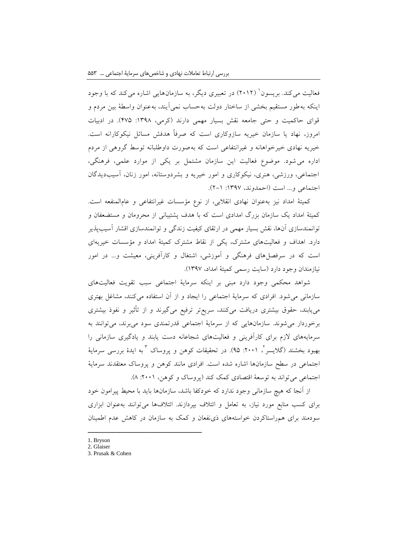فعالیت می کند. بریسون<sup>'</sup> (۲۰۱۲) در تعبیری دیگر، به سازمانهایی اشاره می کند که با وجود اینکه بهطور مستقیم بخشی از ساختار دولت بهحساب نمیآیند، بهعنوان واسطۀ بین مردم و قوای حاکمیت و حتی جامعه نقش بسیار مهمی دارند (کرمی، ۱۳۹۸: ۴۷۵). در ادبیات امروز، نهاد یا سازمان خیریه سازوکاری است که صرفاً هدفش مسائل نیکوکارانه است. خیریه نهادی خیرخواهانه و غیرانتفاعی است که بهصورت داوطلبانه توسط گروهی از مردم اداره میشود. موضوع فعالیت این سازمان مشتمل بر یکی از موارد علمی، فرهنگی، اجتماعی، ورزشی، هنری، نیکوکاری و امور خیریه و بشردوستانه، امور زنان، آسیبدیدگان اجتماعی و... است (احمدوند، ۱۳۹۷: ۱-۲).

کمیتۀ امداد نیز بهعنوان نهادی انقالبی، از نوع مؤسسات غیرانتفاعی و عامالمنفعه است. کمیتۀ امداد یک سازمان بزرگ امدادی است که با هدف پشتیبانی از محرومان و مستضعفان و توانمندسازی آنها، نقش بسیار مهمی در ارتقای کیفیت زندگی و توانمندسازی اقشار آسیبپذیر دارد. اهداف و فعالیتهای مشترک، یکی از نقاط مشترک کمیتۀ امداد و مؤسسات خیریهای است که در سرفصلهای فرهنگی و آموزشی، اشتغال و کارآفرینی، معیشت و... در امور نیازمندان وجود دارد )سایت رسمی کمیتۀ امداد، 1397(.

شواهد محکمی وجود دارد مبنی بر اینکه سرمایۀ اجتماعی سبب تقویت فعالیتهای سازمانی میشود. افرادی که سرمایۀ اجتماعی را ایجاد و از آن استفاده میکنند، مشاغل بهتری مییابند، حقوق بیشتری دریافت میکنند، سریعتر ترفیع میگیرند و از تأثیر و نفوذ بیشتری برخوردار میشوند. سازمانهایی که از سرمایۀ اجتماعی قدرتمندی سود میبرند، میتوانند به سرمایههای الزم برای کارآفرینی و فعالیتهای شجاعانه دست یابند و یادگیری سازمانی را بهبود بخشند (گلایسر'، ۲۰۰۱: ۹۵). در تحقیقات کوهن و پروساک <sup>۲</sup> به ایدۀ بررسی سرمایۀ اجتماعی در سطح سازمانها اشاره شده است. افرادی مانند کوهن و پروساک معتقدند سرمایۀ اجتماعی میتواند به توسعۀ اقتصادی کمک کند )پروساک و کوهن، :2001 8(.

از آنجا که هیچ سازمانی وجود ندارد که خودکفا باشد، سازمانها باید با محیط پیرامون خود برای کسب منابع مورد نیاز، به تعامل و ائتالف بپردازند. ائتالفها میتوانند بهعنوان ابزاری سودمند برای همراستاکردن خواستههای ذینفعان و کمک به سازمان در کاهش عدم اطمینان

<sup>1.</sup> Bryson

<sup>2.</sup> Glaiser

<sup>3.</sup> Prusak & Cohen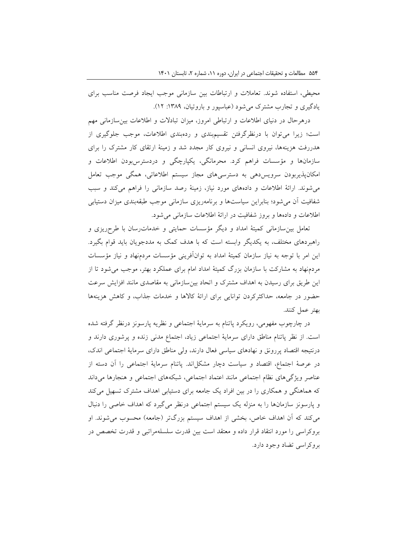محیطی، استفاده شوند. تعامالت و ارتباطات بین سازمانی موجب ایجاد فرصت مناسب برای یادگیری و تجارب مشترک می شود (عباسپور و باروتیان، ۱۳۸۹: ۱۲).

درهرحال در دنیای اطالعات و ارتباطی امروز، میزان تبادالت و اطالعات بینسازمانی مهم است؛ زیرا میتوان با درنظرگرفتن تقسیمبندی و ردهبندی اطالعات، موجب جلوگیری از هدررفت هزینهها، نیروی انسانی و نیروی کار مجدد شد و زمینۀ ارتقای کار مشترک را برای سازمانها و مؤسسات فراهم کرد. محرمانگی، یکپارچگی و دردسترسبودن اطالعات و امکانپذیربودن سرویسدهی به دسترسیهای مجاز سیستم اطالعاتی، همگی موجب تعامل میشوند. ارائۀ اطالعات و دادههای مورد نیاز، زمینۀ رصد سازمانی را فراهم میکند و سبب شفافیت آن میشود؛ بنابراین سیاستها و برنامهریزی سازمانی موجب طبقهبندی میزان دستیابی اطالعات و دادهها و بروز شفافیت در ارائۀ اطالعات سازمانی میشود.

تعامل بینسازمانی کمیتۀ امداد و دیگر مؤسسات حمایتی و خدماترسان با طرحریزی و راهبردهای مختلف، به یکدیگر وابسته است که با هدف کمک به مددجویان باید قوام بگیرد. این امر با توجه به نیاز سازمان کمیتۀ امداد به توانآفرینی مؤسسات مردمنهاد و نیاز مؤسسات مردمنهاد به مشارکت با سازمان بزرگ کمیتۀ امداد امام برای عملکرد بهتر، موجب میشود تا از این طریق برای رسیدن به اهداف مشترک و اتحاد بینسازمانی به مقاصدی مانند افزایش سرعت حضور در جامعه، حداکثرکردن توانایی برای ارائۀ کاالها و خدمات جذاب، و کاهش هزینهها بهتر عمل کنند.

در چارچوب مفهومی، رویکرد پاتنام به سرمایۀ اجتماعی و نظریه پارسونز درنظر گرفته شده است. از نظر پاتنام مناطق دارای سرمایۀ اجتماعی زیاد، اجتماع مدنی زنده و پرشوری دارند و درنتیجه اقتصاد پررونق و نهادهای سیاسی فعال دارند، ولی مناطق دارای سرمایۀ اجتماعی اندک، در عرصۀ اجتماع، اقتصاد و سیاست دچار مشکلاند. پاتنام سرمایۀ اجتماعی را آن دسته از عناصر ویژگیهای نظام اجتماعی مانند اعتماد اجتماعی، شبکههای اجتماعی و هنجارها می داند که هماهنگی و همکاری را در بین افراد یک جامعه برای دستیابی اهداف مشترک تسهیل میکند و پارسونز سازمانها را به منزله یک سیستم اجتماعی درنظر میگیرد که اهداف خاصی را دنبال میکند که آن اهداف خاص، بخشی از اهداف سیستم بزرگتر (جامعه) محسوب میشوند. او بروکراسی را مورد انتقاد قرار داده و معتقد است بین قدرت سلسلهمراتبی و قدرت تخصص در بروکراسی تضاد وجود دارد.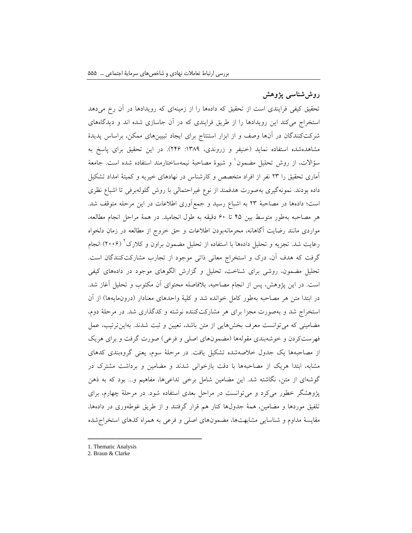# **روششناسی پژوهش**

تحقیق کیفی فرایندی است از تحقیق که دادهها را از زمینهای که رویدادها در آن رخ میدهد استخراج میکند این رویدادها را از طریق فرایندی که در آن جاسازی شده اند و دیدگاههای شرکتکنندگان در آنها وصف و از ابزار استنتاج برای ایجاد تبیینهای ممکن، براساس پدیدۀ مشاهدهشده استفاده نماید (خنیفر و زروندی، ١٣٨٩: ٢۴۶). در این تحقیق برای پاسخ به مؤالات، از روش تحلیل مضمون` و شیوۀ مصاحبۀ نیمهساختارمند استفاده شده است. جامعۀ آماری تحقیق را 23 نفر از افراد متخصص و کارشناس در نهادهای خیریه و کمیتۀ امداد تشکیل داده بودند. نمونهگیری بهصورت هدفمند از نوع غیراحتمالی با روش گلولهبرفی تا اشباع نظری است؛ دادهها در مصاحبۀ 23 به اشباع رسید و جمعآوری اطالعات در این مرحله متوقف شد. هر مصاحبه بهطور متوسط بین 45 تا 60 دقیقه به طول انجامید. در همۀ مراحل انجام مطالعه، مواردی مانند رضایت آگاهانه، محرمانهبودن اطالعات و حق خروج از مطالعه در زمان دلخواه رعایت شد. تجزیه و تحلیل دادهها با استفاده از تحلیل مضمون براون و کلارک' (۲۰۰۶) انجام گرفت که هدف آن، درک و استخراج معانی ذاتی موجود از تجارب مشارکتکنندگان است. تحلیل مضمون، روشی برای شناخت، تحلیل و گزارش الگوهای موجود در دادههای کیفی است. در این پژوهش، پس از انجام مصاحبه، بالفاصله محتوای آن مکتوب و تحلیل آغاز شد. در ابتدا متن هر مصاحبه بهطور کامل خوانده شد و کلیۀ واحدهای معنادار )درونمایهها( از آن استخراج شد و بهصورت مجزا برای هر مشارکتکننده نوشته و کدگذاری شد. در مرحلۀ دوم، مضامینی که میتوانست معرف بخشهایی از متن باشد، تعیین و ثبت شدند. بهاینترتیب، عمل فهرستکردن و خوشهبندی مقولهها (مضمونهای اصلی و فرعی) صورت گرفت و برای هریک از مصاحبهها یک جدول خالصهشده تشکیل یافت. در مرحلۀ سوم، یعنی گروهبندی کدهای مشابه، ابتدا هریک از مصاحبهها با دقت بازخوانی شدند و مضامین و برداشت مشترک در گوشهای از متن، نگاشته شد. این مضامین شامل برخی تداعیها، مفاهیم و... بود که به ذهن پژوهشگر خطور میکرد و میتوانست در مراحل بعدی استفاده شود. در مرحلۀ چهارم، برای تلفیق موردها و مضامین، همۀ جدولها کنار هم قرار گرفتند و از طریق غوطهوری در دادهها، مقایسۀ مداوم و شناسایی مشابهتها، مضمونهای اصلی و فرعی به همراه کدهای استخراجشده

<sup>1.</sup> Thematic Analysis

<sup>2.</sup> Braun & Clarke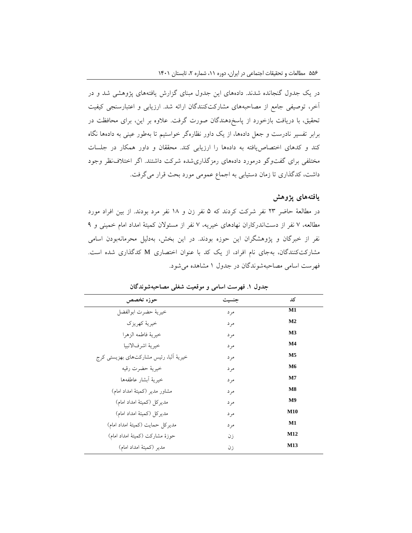در یک جدول گنجانده شدند. دادههای این جدول مبنای گزارش یافتههای پژوهشی شد و در آخر، توصیفی جامع از مصاحبههای مشارکتکنندگان ارائه شد. ارزیابی و اعتبارسنجی کیفیت تحقیق، با دریافت بازخورد از پاسخدهندگان صورت گرفت. عالوه بر این، برای محافظت در برابر تفسیر نادرست و جعل دادهها، از یک داور نظارهگر خواستیم تا بهطور عینی به دادهها نگاه کند و کدهای اختصاصیافته به دادهها را ارزیابی کند. محققان و داور همکار در جلسات مختلفی برای گفتوگو درمورد دادههای رمزگذاریشده شرکت داشتند. اگر اختالفنظر وجود داشت، کدگذاری تا زمان دستیابی به اجماع عمومی مورد بحث قرار میگرفت.

### **یافتههای پژوهش**

در مطالعۀ حاضر 23 نفر شرکت کردند که 5 نفر زن و 18 نفر مرد بودند. از بین افراد مورد مطالعه، 7 نفر از دستاندرکاران نهادهای خیریه، 7 نفر از مسئوالن کمیتۀ امداد امام خمینی و 9 نفر از خبرگان و پژوهشگران این حوزه بودند. در این بخش، بهدلیل محرمانهبودن اسامی مشارکتکنندگان، بهجای نام افراد، از یک کد با عنوان اختصاری <sup>M</sup> کدگذاری شده است. فهرست اسامی مصاحبهشوندگان در جدول 1 مشاهده میشود.

| حوزه تخصص                               | جنسيت | کد             |
|-----------------------------------------|-------|----------------|
| خيرية حضرت ابوالفضل                     | مر د  | M1             |
| خبر بهٔ کهر بزک                         | مر د  | M <sub>2</sub> |
| خيرية فاطمه الزهرا                      | مر د  | <b>M3</b>      |
| خيرية اشرفالانبيا                       | مر د  | M4             |
| خیریهٔ آلبا، رئیس مشارکتهای بهزیستی کرج | مر د  | M <sub>5</sub> |
| خيريهٔ حضرت رقيه                        | مر د  | M6             |
| خيرية أبشار عاطفهها                     | مر د  | M7             |
| مشاور مدير (كميتهٔ امداد امام)          | مر د  | M8             |
| مديركل (كميتهٔ امداد امام)              | مر د  | M <sub>9</sub> |
| مدیرکل (کمیتهٔ امداد امام)              | مر د  | <b>M10</b>     |
| مديركل حمايت (كميتهٔ امداد امام)        | مر د  | M1             |
| حوزهٔ مشارکت (کمیتهٔ امداد امام)        | ز ن   | M12            |
| مدير (كميتهٔ امداد امام)                | زن    | M13            |

**جدول .1 فهرست اسامی و موقعیت شغلی مصاحبهشوندگان**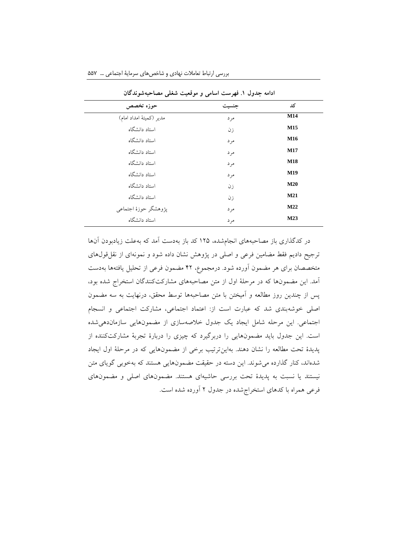| حوزه تخصص                | جنسيت | کد         |
|--------------------------|-------|------------|
| مدیر (کمیتهٔ امداد امام) | مر د  | M14        |
| استاد دانشگاه            | زن    | M15        |
| استاد دانشگاه            | مر د  | M16        |
| استاد دانشگاه            | مر د  | M17        |
| استاد دانشگاه            | مر د  | <b>M18</b> |
| استاد دانشگاه            | مر د  | M19        |
| استاد دانشگاه            | زن    | <b>M20</b> |
| استاد دانشگاه            | زن    | M21        |
| پژوهشگر حوزهٔ اجتماعی    | مر د  | M22        |
| استاد دانشگاه            | مر د  | M23        |

بررسی ارتباط تعامالت نهادی و شاخصهای سرمایة اجتماعی ... 557

**ادامه جدول .1 فهرست اسامی و موقعیت شغلی مصاحبهشوندگان**

در کدگذاری باز مصاحبههای انجامشده، 125 کد باز بهدست آمد که بهعلت زیادبودن آنها ترجیح دادیم فقط مضامین فرعی و اصلی در پژوهش نشان داده شود و نمونهای از نقلقولهای متخصصان برای هر مضمون آورده شود. درمجموع، 42 مضمون فرعی از تحلیل یافتهها بهدست آمد. این مضمونها که در مرحلۀ اول از متن مصاحبههای مشارکتکنندگان استخراج شده بود، پس از چندین روز مطالعه و آمیختن با متن مصاحبهها توسط محقق، درنهایت به سه مضمون اصلی خوشهبندی شد که عبارت است از: اعتماد اجتماعی، مشارکت اجتماعی و انسجام اجتماعی. این مرحله شامل ایجاد یک جدول خالصهسازی از مضمونهایی سازماندهیشده است. این جدول باید مضمونهایی را دربرگیرد که چیزی را دربارۀ تجربۀ مشارکتکننده از پدیدۀ تحت مطالعه را نشان دهند. بهاینترتیب برخی از مضمونهایی که در مرحلۀ اول ایجاد شدهاند، کنار گذارده میشوند. این دسته در حقیقت مضمونهایی هستند که بهخوبی گویای متن نیستند یا نسبت به پدیدۀ تحت بررسی حاشیهای هستند. مضمونهای اصلی و مضمونهای فرعی همراه با کدهای استخراجشده در جدول 2 آورده شده است.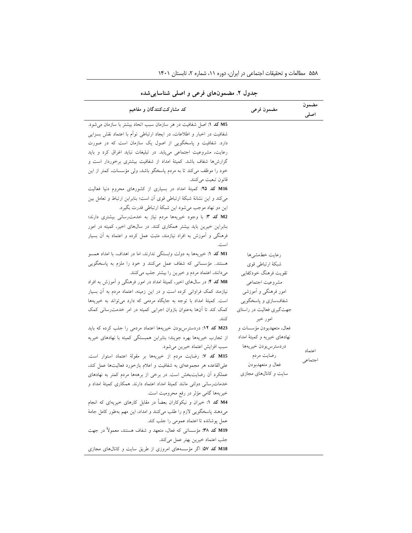| جندوں ۰. مصنفوں مائ قریحی و اجتنی متناساتی مندہ                           |                              |               |
|---------------------------------------------------------------------------|------------------------------|---------------|
| کد مشارکتکنندگان و مفاهیم                                                 | مضمون فرعى                   | مضمون<br>اصلى |
| M5 كد ١: اصل شفافيت در هر سازمان سبب اتحاد بيشتر با سازمان مى شود.        |                              |               |
| شفافیت در اخبار و اطلاعات، در ایجاد ارتباطی توأم با اعتماد نقش بسزایی     |                              |               |
| دارد. شفافیت و پاسخگویی از اصول یک سازمان است که در صورت                  |                              |               |
| رعایت، مشروعیت اجتماعی می یابد. در تبلیغات نباید اغراق کرد و باید         |                              |               |
| گزارشها شفاف باشد. کمیتهٔ امداد از شفافیت بیشتری برخوردار است و           |                              |               |
| خود را موظف میکند تا به مردم پاسخگو باشد، ولی مؤسسات، کمتر از این         |                              |               |
| قانون تبعيت مي كنند.                                                      |                              |               |
| M16 کد ۲۵: کمیتهٔ امداد در بسیاری از کشورهای محروم دنیا فعالیت            |                              |               |
| می کند و این نشانهٔ شبکهٔ ارتباطی قوی آن است؛ بنابرابن ارتباط و تعامل بین |                              |               |
| این دو نهاد موجب میشود این شبکهٔ ارتباطی قدرت بگیرد.                      |                              |               |
| M2 کد ۳: با وجود خیریهها مردم نیاز به خدمت رسانی بیشتری دارند؛            |                              |               |
| بنابراین خیرین باید بیشتر همکاری کنند. در سالهای اخیر، کمیته در امور      |                              |               |
| فرهنگی و آموزش به افراد نیازمند، مثبت عمل کرده و اعتماد به آن بسیار       |                              |               |
| است.                                                                      |                              |               |
| M1 کد ۱: خیریهها به دولت وابستگی ندارند، اما در اهداف، با امداد همسو      | رعايت خطمشي ها               |               |
| هستند مؤسساتی که شفاف عمل میکنند و خود را ملزم به پاسخگویی                | شبكهٔ ارتباطی قوی            |               |
| می دانند، اعتماد مردم و خیرین را بیشتر جلب می کنند.                       | تقويت فرهنگ خودكفايي         |               |
| M8 کد ۴: در سال های اخیر، کمیتهٔ امداد در امور فرهنگی و آموزش به افراد    | مشروعيت اجتماعي              |               |
| نیازمند کمک فراوانی کرده است و در این زمینه، اعتماد مردم به آن بسیار      | امور فرهنگی و اَموزشی        |               |
| است. کمیتهٔ امداد با توجه به جایگاه مردمی که دارد میتواند به خیریهها      | شفافسازی و پاسخگویی          |               |
| کمک کند تا آنها بهعنوان بازوان اجرایی کمیته در امر خدمت٫سانی کمک          | جهتگیری فعالیت در راستای     |               |
| كنند.                                                                     | امور خير                     |               |
| M23 كد ١٢: دردسترس بودن خيريهها اعتماد مردمي را جلب كرده كه بايد          | فعال، متعهدبودن مؤسسات و     |               |
| از تجارب خیریهها بهره جویند؛ بنابرابن همبستگی کمیته با نهادهای خیریه      | نهادهای خیریه و کمیتهٔ امداد |               |
| سبب افزايش اعتماد خيرين مي شود.                                           | دردسترس بودن خيريهها         |               |
| M15 كد ٧: رضايت مردم از خيريهها بر مقولة اعتماد استوار است.               | رضايت مردم                   | اعتماد        |
| على القاعده هر مجموعهاى به شفافيت و اعلام بازخورد فعاليتها عمل كند،       | فعال و متعهدبودن             | اجتماعي       |
| عملکرد آن رضایتبخش است. در برخی از برههها مردم کمتر به نهادهای            | سایت و کانالهای مجازی        |               |
| خدمات رسانی دولتی مانند کمیتهٔ امداد اعتماد دارند. همکاری کمیتهٔ امداد و  |                              |               |
| خیریهها گامی مؤثر در رفع محرومیت است.                                     |                              |               |
| M4 کد ۱: خیران و نیکوکاران بعضاً در مقابل کارهای خیریهای که انجام         |                              |               |
| میدهند پاسخگویی لازم را طلب میکنند و امداد، این مهم بهطور کامل جامهٔ      |                              |               |
| عمل يوشانده تا اعتماد عمومي را جلب كند.                                   |                              |               |
| M19 کد ۳۸: مؤسساتی که فعال، متعهد و شفاف هستند، معمولاً در جهت            |                              |               |
| جلب اعتماد خيرين بهتر عمل مي كند.                                         |                              |               |
| M18 کد ۵۷: اگر مؤسسههای امروزی از طریق سایت و کانالهای مجازی              |                              |               |

۵۵۸ مطالعات و تحقیقات اجتماعی در ایران، دوره ۰۱۱ شماره ۲، تابستان ۱۴۰۱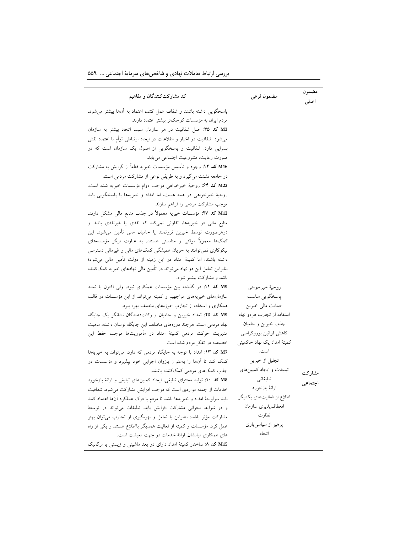| کد مشارکتکنندگان و مفاهیم                                                | مضمون فرعى                   | مضمون<br>اصلى |
|--------------------------------------------------------------------------|------------------------------|---------------|
| پاسخگویی داشته باشند و شفاف عمل کنند، اعتماد به آنها بیشتر می شود.       |                              |               |
| مردم ایران به مؤسسات کوچکتر بیشتر اعتماد دارند.                          |                              |               |
| M3 كد ٣٥: اصل شفافيت در هر سازمان سبب اتحاد بيشتر به سازمان              |                              |               |
| میشود. شفافیت در اخبار و اطلاعات در ایجاد ارتباطی توأم با اعتماد نقش     |                              |               |
| بسزایی دارد. شفافیت و پاسخگویی از اصول یک سازمان است که در               |                              |               |
| صورت رعايت، مشروعيت اجتماعي مي يابد.                                     |                              |               |
| M16 کد ۱۲: وجود و تأسیس مؤسسات خیریه قطعاً از گرایش به مشارکت            |                              |               |
| در جامعه نشئت میگیرد و به طریقی نوعی از مشارکت مردمی است.                |                              |               |
| M22 كد ۶۴: روحية خيرخواهي موجب دوام مؤسسات خيريه شده است.                |                              |               |
| روحیهٔ خیرخواهی در همه هست، اما امداد و خیریهها با پاسخگویی باید         |                              |               |
| موجب مشاركت مردمي را فراهم سازند.                                        |                              |               |
| M12 کد XV: مؤسسات خیریه معمولاً در جذب منابع مالی مشکل دارند.            |                              |               |
| منابع مالی در خیریهها، تفاوتی نمیکند که نقدی یا غیرنقدی باشد و           |                              |               |
| درهرصورت توسط خیرین ثروتمند یا حامیان مالی تأمین میشود. این              |                              |               |
| کمکها معمولاً موقتی و مناسبتی هستند. به عبارت دیگر مؤسسههای              |                              |               |
| نیکوکاری نمی توانند به جریان همیشگی کمکهای مالی و غیرمالی دسترسی         |                              |               |
| داشته باشند، اما کمیتهٔ امداد در این زمینه از دولت تأمین مالی میشود؛     |                              |               |
| بنابراین تعامل این دو نهاد میتواند در تأمین مالی نهادهای خیریه کمککننده  |                              |               |
| باشد و مشارکت بیشتر شود.                                                 |                              |               |
| M9 كد ١١: در گذشته بين مؤسسات همكاري نبود، ولي اكنون با تعدد             | روحيهٔ خيرخواهي              |               |
| سازمانهای خیریههای مواجهیم و کمیته میتواند از این مؤسسات در قالب         | پاسخگویی مناسب               |               |
| همکاری و استفاده از تجارب حوزههای مختلف بهره ببرد.                       | حمايت مالي خيرين             |               |
| M9 كد ٢۵: تعداد خيرين و حاميان و زكاتدهندگان نشانگر يک جايگاه            | استفاده از تجارب هردو نهاد   |               |
| نهاد مردمی است. هرچند دورههای مختلف این جایگاه نوسان داشته، ماهیت        | جذب خيرين وحاميان            |               |
| مدیریت حرکت مردمی کمیتهٔ امداد در مأموریتها موجب حفظ این                 | كاهش قوانين بوروكراسي        |               |
| خصیصه در تفکر مردم شده است.                                              | کمیتهٔ امداد یک نهاد حاکمیتی |               |
| M7 کد ۱۳: امداد با توجه به جایگاه مردمی که دارد، میتواند به خیریهها      | است.                         |               |
| کمک کند تا آنها را بهعنوان بازوان اجرایی خود بپذیرد و مؤسسات در          | تجلیل از خیرین               |               |
| جذب كمكهاي مردمى كمككننده باشند.                                         | تبلیغات و ایجاد کمپینهای     | مشار کت       |
| M8 كد ١٠: توليد محتواى تبليغي، ايجاد كمپينهاى تبليغي و ارائة بازخورد     | تبليغاتي                     | اجتماعي       |
| خدمات از جمله مواردی است که موجب افزایش مشارکت می شود. شفافیت            | ارائهٔ بازخورد               |               |
| باید سرلوحهٔ امداد و خیریهها باشد تا مردم با درک عملکرد آنها اعتماد کنند | اطلاع از فعالیتهای یکدیگر    |               |
| و در شرایط بحرانی مشارکت افزایش یابد. تبلیغات میتواند در توسعهٔ          | انعطاف پذيري سازمان          |               |
| مشارکت مؤثر باشد؛ بنابراین با تعامل و بهرهگیری از تجارب می توان بهتر     | نظارت                        |               |
| عمل کرد. مؤسسات و کمیته از فعالیت همدیگر بااطلاع هستند و یکی از راه      | پرهيز از سياسيبازي           |               |
| های همکاری میانشان، ارائهٔ خدمات در جهت معیشت است.                       | اتحاد                        |               |
| M15 کد ٨: ساختار کمیتهٔ امداد دارای دو بعد ماشینی و زیستی یا ارگانیک     |                              |               |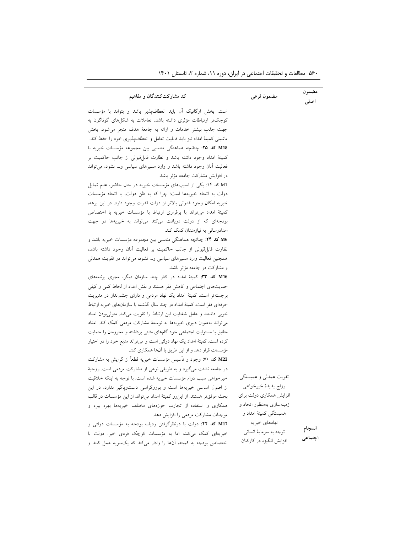| کد مشارکتکنندگان و مفاهیم                                                 | مضمون فرعى                | مضمون<br>اصلى |
|---------------------------------------------------------------------------|---------------------------|---------------|
| است. بخش ارگانیک آن باید انعطافپذیر باشد و بتواند با مؤسسات               |                           |               |
| کوچکتر ارتباطات مؤثری داشته باشد. تعاملات به شکلهای گوناگون به            |                           |               |
| جهت جذب بیشتر خدمات و ارائه به جامعهٔ هدف منجر میشود. بخش                 |                           |               |
| ماشینی کمیتهٔ امداد نیز باید قابلیت تعامل و انعطافپذیری خود را حفظ کند.   |                           |               |
| M18 كد ٢٥: چنانچه هماهنگى مناسبى بين مجموعه مؤسسات خيريه با               |                           |               |
| كميتهٔ امداد وجود داشته باشد و نظارت قابل قبولي از جانب حاكميت بر         |                           |               |
| فعالیت آنان وجود داشته باشد و وارد مسیرهای سیاسی و نشود، می تواند         |                           |               |
| در افزایش مشارکت جامعه مؤثر باشد.                                         |                           |               |
| M1 کد ۱۴: یکی از آسیبهای مؤسسات خیریه در حال حاضر، عدم تمایل              |                           |               |
| دولت به اتحاد خيريهها است؛ چرا كه به ظن دولت، با اتحاد مؤسسات             |                           |               |
| خيريه امكان وجود قدرتي بالاتر از دولت قدرت وجود دارد. در اين برهه،        |                           |               |
| كميتة امداد مى تواند با برقرارى ارتباط با مؤسسات خيريه با اختصاص          |                           |               |
| بودجهای که از دولت دریافت میکند میتواند به خیریهها در جهت                 |                           |               |
| امدادرسانی به نیازمندان کمک کند.                                          |                           |               |
| M6 كد ٢۴: چنانچه هماهنگي مناسبي بين مجموعه مؤسسات خيريه باشد و            |                           |               |
| نظارت قابل قبولي از جانب حاكميت بر فعاليت أنان وجود داشته باشد،           |                           |               |
| همچنین فعالیت وارد مسیرهای سیاسی و نشود، میتواند در تقویت همدلی           |                           |               |
| و مشارکت در جامعه مؤثر باشد.                                              |                           |               |
| M16 کد ٣٣: کمیتهٔ امداد در کنار چند سازمان دیگر، مجری برنامههای           |                           |               |
| حمایتهای اجتماعی و کاهش فقر هستند و نقش امداد از لحاظ کمی و کیفی          |                           |               |
| برجستهتر است. کمیتهٔ امداد یک نهاد مردمی و دارای چشمانداز در مدیریت       |                           |               |
| حرفهای فقر است. کمیتهٔ امداد در چند سال گذشته با سازمانهای خیریه ارتباط   |                           |               |
| خوبی داشتند و عامل شفافیت این ارتباط را تقویت میکند. متولی بودن امداد     |                           |               |
| می تواند به عنوان دبیری خیریهها به توسعهٔ مشارکت مردمی کمک کند. امداد     |                           |               |
| مطابق با مسئولیت اجتماعی خود گامهای مثبتی برداشته و محرومان را حمایت      |                           |               |
| کرده است. کمیتهٔ امداد یک نهاد دولتی است و میتواند منابع خود را در اختیار |                           |               |
| مؤسسات قرار دهد و از این طریق با آنها همکاری کند.                         |                           |               |
| M22 کد ۷۰: وجود و تأسیس مؤسسات خیریه قطعاً از گرایش به مشارکت             |                           |               |
| در جامعه نشئت میگیرد و به طریقی نوعی از مشارکت مردمی است. روحیهٔ          |                           |               |
| خیرخواهی سبب دوام مؤسسات خیریه شده است. با توجه به اینکه خلاقیت           | تقويت همدلى و همبستگى     |               |
| از اصول اساسی خیریهها است و بوروکراسی دستوپاگیر ندارد، در این             | رواج پديدهٔ خيرخواهي      |               |
| بحث موفقتر هستند. از این رو کمیتهٔ امداد میتواند از این مؤسسات در قالب    | افزایش همکاری دولت برای   |               |
| همکاری و استفاده از تجارب حوزههای مختلف خیریهها بهره ببرد و               | زمینهسازی بهمنظور اتحاد و |               |
| موجبات مشاركت مردمي را افزايش دهد.                                        | همبستگی کمیتهٔ امداد و    |               |
| M17 كد ۴۲: دولت با درنظرگرفتن رديف بودجه به مؤسسات دولتى و                | نهادهاي خيريه             |               |
| خیریهای کمک میکند، اما به مؤسسات کوچک فردی خیر. دولت با                   | توجه به سرمایهٔ انسانی    | انسجام        |
| اختصاص بودجه به کمیته، آنها را وادار میکند که یکسویه عمل کنند و           | افزایش انگیزه در کارکنان  | اجتماعي       |

۵۶۰ مطالعات و تحقیقات اجتماعی در ایران، دوره ۱۱، شماره ۲، تابستان ۱۴۰۱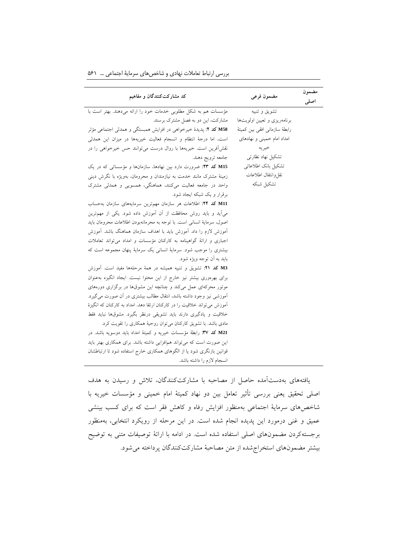| کد مشارکتکنندگان و مفاهیم                                                  | مضمون فرعى                     | مضمون |
|----------------------------------------------------------------------------|--------------------------------|-------|
|                                                                            |                                | اصلى  |
| مؤسسات هم به شکل مطلوبی خدمات خود را ارائه میدهند. بهتر است با             | تشويق وتنبيه                   |       |
| مشارکت، این دو به فصل مشترک برسند.                                         | برنامهریزی و تعیین اولویتها    |       |
| M58 كد ٢: پديدهٔ خيرخواهي در افزايش همبستگي و همدلي اجتماعي مؤثر           | رابطهٔ سازمانی افقی بین کمیتهٔ |       |
| است، اما درجهٔ انتظام و انسجام فعالیت خیریهها در میزان این همدلی           | امداد امام خمینی و نهادهای     |       |
| نقشآفرین است. خیریهها با روال درست میتوانند حس خیرخواهی را در              | خير يه                         |       |
| جامعه ترويج دهند.                                                          | تشکیل نهاد نظارت <sub>ی</sub>  |       |
| M15 کد ٢٣: ضرورت دارد بين نهادها، سازمانها و مؤسساتي که در يک              | تشكيل بانك اطلاعاتي            |       |
| زمینهٔ مشترک مانند خدمت به نیازمندان و محرومان، بهویژه با نگرش دینی        | نقل وانتقال اطلاعات            |       |
| واحد در جامعه فعالیت میکنند، هماهنگی، همسویی و همدلی مشترک                 | تشكيل شبكه                     |       |
| برقرار و یک شبکه ایجاد شود.                                                |                                |       |
| M11 كد ٢۴: اطلاعات هر سازمان مهمترين سرمايههاى سازمان به حساب              |                                |       |
| میآید و باید روش محافظت از آن آموزش داده شود. یکی از مهمترین               |                                |       |
| اصول، سرماية انساني است. با توجه به محرمانهبودن اطلاعات محرومان بايد       |                                |       |
| آموزش لازم را داد. آموزش باید با اهداف سازمان هماهنگ باشد. آموزش           |                                |       |
| اجباری و ارائهٔ گواهینامه به کارکنان مؤسسات و امداد می تواند تعاملات       |                                |       |
| بیشتری را موجب شود. سرمایهٔ انسانی یک سرمایهٔ پنهان مجموعه است که          |                                |       |
| بايد به أن توجه ويژه شود.                                                  |                                |       |
| M3 كد ٢١: تشويق و تنبيه هميشه در همهٔ مرحلهها مفيد است. آموزش              |                                |       |
| برای بهرهوری بیشتر نیز خارج از این محتوا نیست. ایجاد انگیزه به عنوان       |                                |       |
| موتور محرکهای عمل میکند و چنانچه این مشوقها در برگزاری دورههای             |                                |       |
| آموزشی نیز وجود داشته باشد، انتقال مطالب بیشتری در آن صورت می گیرد.        |                                |       |
| أموزش می تواند خلاقیت را در کارکنان ارتقا دهد. امداد به کارکنان که انگیزهٔ |                                |       |
| خلاقیت و یادگیری دارند باید تشویقی درنظر بگیرد. مشوقها نباید فقط           |                                |       |
| مادی باشد. با تشویق کارکنان می توان روحیهٔ همکاری را تقویت کرد.            |                                |       |
| M21 كد ٣٧: رابطة مؤسسات خيريه و كميتة امداد بايد دوسويه باشد. در           |                                |       |
| این صورت است که می تواند همافزایی داشته باشد. برای همکاری بهتر باید        |                                |       |
| قوانین بازنگری شود یا از الگوهای همکاری خارج استفاده شود تا ارتباطشان      |                                |       |
| انسجام لازم را داشته باشد.                                                 |                                |       |

بررسی ارتباط تعامالت نهادی و شاخصهای سرمایة اجتماعی ... 561

یافتههای بهدستآمده حاصل از مصاحبه با مشارکتکنندگان، تالش و رسیدن به هدف اصلی تحقیق یعنی بررسی تأثیر تعامل بین دو نهاد کمیتۀ امام خمینی و مؤسسات خیریه با شاخصهای سرمایۀ اجتماعی بهمنظور افزایش رفاه و کاهش فقر است که برای کسب بینشی عمیق و غنی درمورد این پدیده انجام شده است. در این مرحله از رویکرد انتخابی، بهمنظور برجستهکردن مضمونهای اصلی استفاده شده است. در ادامه با ارائۀ توصیفات متنی به توضیح بیشتر مضمونهای استخراجشده از متن مصاحبۀ مشارکتکنندگان پرداخته میشود.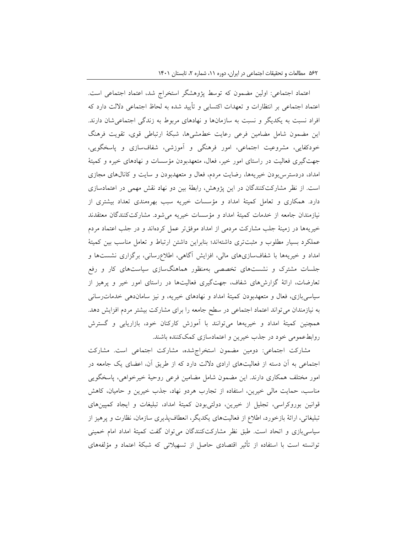اعتماد اجتماعی: اولین مضمون که توسط پژوهشگر استخراج شد، اعتماد اجتماعی است. اعتماد اجتماعی بر انتظارات و تعهدات اکتسابی و تأیید شده به لحاظ اجتماعی داللت دارد که افراد نسبت به یکدیگر و نسبت به سازمانها و نهادهای مربوط به زندگی اجتماعیشان دارند. این مضمون شامل مضامین فرعی رعایت خطمشیها، شبکۀ ارتباطی قوی، تقویت فرهنگ خودکفایی، مشروعیت اجتماعی، امور فرهنگی و آموزشی، شفافسازی و پاسخگویی، جهتگیری فعالیت در راستای امور خیر، فعال، متعهدبودن مؤسسات و نهادهای خیره و کمیتۀ امداد، دردسترسبودن خیریهها، رضایت مردم، فعال و متعهدبودن و سایت و کانالهای مجازی است. از نظر مشارکتکنندگان در این پژوهش، رابطۀ بین دو نهاد نقش مهمی در اعتمادسازی دارد. همکاری و تعامل کمیتۀ امداد و مؤسسات خیریه سبب بهرهمندی تعداد بیشتری از نیازمندان جامعه از خدمات کمیتۀ امداد و مؤسسات خیریه میشود. مشارکتکنندگان معتقدند خیریهها در زمینۀ جلب مشارکت مردمی از امداد موفقتر عمل کردهاند و در جلب اعتماد مردم عملکرد بسیار مطلوب و مثبتتری داشتهاند؛ بنابراین داشتن ارتباط و تعامل مناسب بین کمیتۀ امداد و خیریهها با شفافسازیهای مالی، افزایش آگاهی، اطالعرسانی، برگزاری نشستها و جلسات مشترک و نشستهای تخصصی بهمنظور هماهنگسازی سیاستهای کار و رفع تعارضات، ارائۀ گزارشهای شفاف، جهتگیری فعالیتها در راستای امور خیر و پرهیز از سیاسیبازی، فعال و متعهدبودن کمیتۀ امداد و نهادهای خیریه، و نیز ساماندهی خدماترسانی به نیازمندان میتواند اعتماد اجتماعی در سطح جامعه را برای مشارکت بیشتر مردم افزایش دهد. همچنین کمیتۀ امداد و خیریهها میتوانند با آموزش کارکنان خود، بازاریابی و گسترش روابطعمومی خود در جذب خیرین و اعتمادسازی کمککننده باشند.

مشارکت اجتماعی: دومین مضمون استخراجشده، مشارکت اجتماعی است. مشارکت اجتماعی به آن دسته از فعالیتهای ارادی داللت دارد که از طریق آن، اعضای یک جامعه در امور مختلف همکاری دارند. این مضمون شامل مضامین فرعی روحیۀ خیرخواهی، پاسخگویی مناسب، حمایت مالی خیرین، استفاده از تجارب هردو نهاد، جذب خیرین و حامیان، کاهش قوانین بوروکراسی، تجلیل از خیرین، دولتیبودن کمیتۀ امداد، تبلیغات و ایجاد کمپینهای تبلیغاتی، ارائۀ بازخورد، اطالع از فعالیتهای یکدیگر، انعطافپذیری سازمان، نظارت و پرهیز از سیاسیبازی و اتحاد است. طبق نظر مشارکتکنندگان میتوان گفت کمیتۀ امداد امام خمینی توانسته است با استفاده از تأثیر اقتصادی حاصل از تسهیالتی که شبکۀ اعتماد و مؤلفههای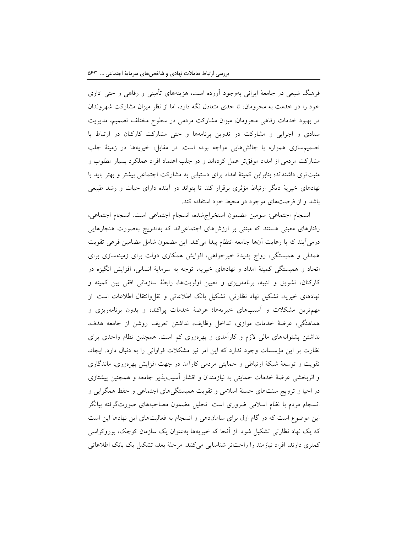فرهنگ شیعی در جامعۀ ایرانی بهوجود آورده است، هزینههای تأمینی و رفاهی و حتی اداری خود را در خدمت به محرومان، تا حدی متعادل نگه دارد، اما از نظر میزان مشارکت شهروندان در بهبود خدمات رفاهی محرومان، میزان مشارکت مردمی در سطوح مختلف تصمیم، مدیریت ستادی و اجرایی و مشارکت در تدوین برنامهها و حتی مشارکت کارکنان در ارتباط با تصمیمسازی همواره با چالشهایی مواجه بوده است. در مقابل، خیریهها در زمینۀ جلب مشارکت مردمی از امداد موفقتر عمل کردهاند و در جلب اعتماد افراد عملکرد بسیار مطلوب و مثبتتری داشتهاند؛ بنابرابن کمیتۀ امداد برای دستیابی به مشارکت اجتماعی بیشتر و بهتر باید با نهادهای خیریۀ دیگر ارتباط مؤثری برقرار کند تا بتواند در آینده دارای حیات و رشد طبیعی باشد و از فرصتهای موجود در محیط خود استفاده کند.

انسجام اجتماعی: سومین مضمون استخراجشده، انسجام اجتماعی است. انسجام اجتماعی، رفتارهای معینی هستند که مبتنی بر ارزشهای اجتماعیاند که بهتدریج بهصورت هنجارهایی درمیآیند که با رعایت آنها جامعه انتظام پیدا میکند. این مضمون شامل مضامین فرعی تقویت همدلی و همبستگی، رواج پدیدۀ خیرخواهی، افزایش همکاری دولت برای زمینهسازی برای اتحاد و همبستگی کمیتۀ امداد و نهادهای خیریه، توجه به سرمایۀ انسانی، افزایش انگیزه در کارکنان، تشویق و تنبیه، برنامهریزی و تعیین اولویتها، رابطۀ سازمانی افقی بین کمیته و نهادهای خیریه، تشکیل نهاد نظارتی، تشکیل بانک اطالعاتی و نقلوانتقال اطالعات است. از مهمترین مشکالت و آسیبهای خیریهها؛ عرضۀ خدمات پراکنده و بدون برنامهریزی و هماهنگی، عرضۀ خدمات موازی، تداخل وظایف، نداشتن تعریف روشن از جامعه هدف، نداشتن پشتوانههای مالی الزم و کارآمدی و بهرهوری کم است. همچنین نظام واحدی برای نظارت بر این مؤسسات وجود ندارد که این امر نیز مشکالت فراوانی را به دنبال دارد. ایجاد، تقویت و توسعۀ شبکۀ ارتباطی و حمایتی مردمی کارآمد در جهت افزایش بهرهوری، ماندگاری و اثربخشی عرضۀ خدمات حمایتی به نیازمندان و اقشار آسیبپذیر جامعه و همچنین پیشتازی در احیا و ترویج سنتهای حسنۀ اسالمی و تقویت همبستگیهای اجتماعی و حفظ همگرایی و انسجام مردم با نظام اسالمی ضروری است. تحلیل مضمون مصاحبههای صورتگرفته بیانگر این موضوع است که در گام اول برای ساماندهی و انسجام به فعالیتهای این نهادها این است که یک نهاد نظارتی تشکیل شود. از آنجا که خیریهها بهعنوان یک سازمان کوچک، بوروکراسی کمتری دارند، افراد نیازمند را راحتتر شناسایی میکنند. مرحلۀ بعد، تشکیل یک بانک اطالعاتی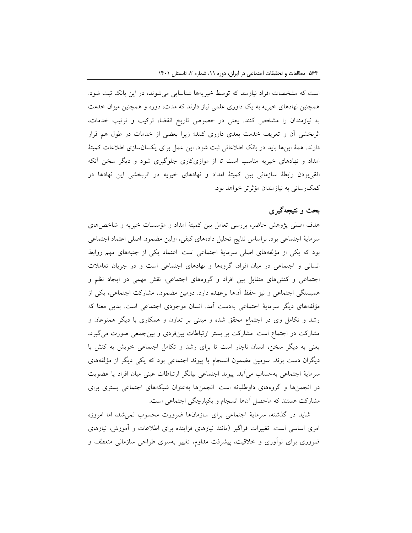است که مشخصات افراد نیازمند که توسط خیریهها شناسایی میشوند، در این بانک ثبت شود. همچنین نهادهای خیریه به یک داوری علمی نیاز دارند که مدت، دوره و همچنین میزان خدمت به نیازمندان را مشخص کنند. یعنی در خصوص تاریخ انقضا، ترکیب و ترتیب خدمات، اثربخشی آن و تعریف خدمت بعدی داوری کنند؛ زیرا بعضی از خدمات در طول هم قرار دارند. همۀ اینها باید در بانک اطالعاتی ثبت شود. این عمل برای یکسانسازی اطالعات کمیتۀ امداد و نهادهای خیریه مناسب است تا از موازیکاری جلوگیری شود و دیگر سخن آنکه افقیبودن رابطۀ سازمانی بین کمیتۀ امداد و نهادهای خیریه در اثربخشی این نهادها در کمکرسانی به نیازمندان مؤثرتر خواهد بود.

## **بحث و نتیجهگیری**

هدف اصلی پژوهش حاضر، بررسی تعامل بین کمیتۀ امداد و مؤسسات خیریه و شاخصهای سرمایۀ اجتماعی بود. براساس نتایج تحلیل دادههای کیفی، اولین مضمون اصلی اعتماد اجتماعی بود که یکی از مؤلفههای اصلی سرمایۀ اجتماعی است. اعتماد یکی از جنبههای مهم روابط انسانی و اجتماعی در میان افراد، گروهها و نهادهای اجتماعی است و در جریان تعامالت اجتماعی و کنشهای متقابل بین افراد و گروههای اجتماعی، نقش مهمی در ایجاد نظم و همبستگی اجتماعی و نیز حفظ آنها برعهده دارد. دومین مضمون، مشارکت اجتماعی، یکی از مؤلفههای دیگر سرمایۀ اجتماعی بهدست آمد. انسان موجودی اجتماعی است. بدین معنا که رشد و تکامل وی در اجتماع محقق شده و مبتنی بر تعاون و همکاری با دیگر همنوعان و مشارکت در اجتماع است. مشارکت بر بستر ارتباطات بینفردی و بینجمعی صورت میگیرد، یعنی به دیگر سخن، انسان ناچار است تا برای رشد و تکامل اجتماعی خویش به کنش با دیگران دست بزند. سومین مضمون انسجام یا پیوند اجتماعی بود که یکی دیگر از مؤلفههای سرمایۀ اجتماعی بهحساب میآید. پیوند اجتماعی بیانگر ارتباطات عینی میان افراد یا عضویت در انجمنها و گروههای داوطلبانه است. انجمنها بهعنوان شبکههای اجتماعی بستری برای مشارکت هستند که ماحصل آنها انسجام و یکپارچگی اجتماعی است.

شاید در گذشته، سرمایۀ اجتماعی برای سازمانها ضرورت محسوب نمیشد، اما امروزه امری اساسی است. تغییرات فراگیر )مانند نیازهای فزاینده برای اطالعات و آموزش، نیازهای ضروری برای نوآوری و خالقیت، پیشرفت مداوم، تغییر بهسوی طراحی سازمانی منعطف و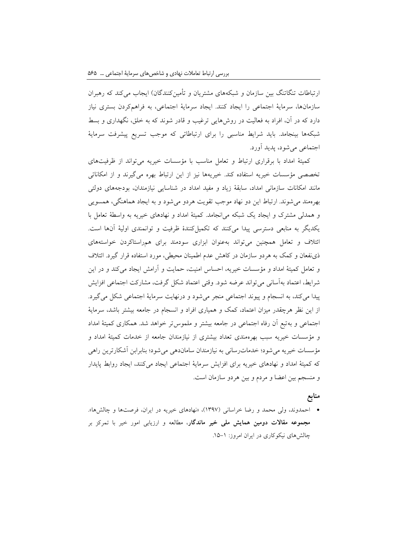ارتباطات تنگاتنگ بین سازمان و شبکههای مشتریان و تأمینکنندگان) ایجاب میکند که رهبران سازمانها، سرمایۀ اجتماعی را ایجاد کنند. ایجاد سرمایۀ اجتماعی، به فراهمکردن بستری نیاز دارد که در آن، افراد به فعالیت در روشهایی ترغیب و قادر شوند که به خلق، نگهداری و بسط شبکهها بینجامد. باید شرایط مناسبی را برای ارتباطاتی که موجب تسریع پیشرفت سرمایۀ اجتماعی میشود، پدید آورد.

کمیتۀ امداد با برقراری ارتباط و تعامل مناسب با مؤسسات خیریه میتواند از ظرفیتهای تخصصی مؤسسات خیریه استفاده کند. خیریهها نیز از این ارتباط بهره میگیرند و از امکاناتی مانند امکانات سازمانی امداد، سابقۀ زیاد و مفید امداد در شناسایی نیازمندان، بودجههای دولتی بهرهمند میشوند. ارتباط این دو نهاد موجب تقویت هردو میشود و به ایجاد هماهنگی، همسویی و همدلی مشترک و ایجاد یک شبکه میانجامد. کمیتۀ امداد و نهادهای خیریه به واسطۀ تعامل با یکدیگر به منابعی دسترسی پیدا میکنند که تکمیلکنندۀ ظرفیت و توانمندی اولیۀ آنها است. ائتالف و تعامل همچنین میتواند بهعنوان ابزاری سودمند برای همراستاکردن خواستههای ذینفعان و کمک به هردو سازمان در کاهش عدم اطمینان محیطی، مورد استفاده قرار گیرد. ائتالف و تعامل کمیتۀ امداد و مؤسسات خیریه، احساس امنیت، حمایت و آرامش ایجاد میکند و در این شرایط، اعتماد بهآسانی میتواند عرضه شود. وقتی اعتماد شکل گرفت، مشارکت اجتماعی افزایش پیدا میکند، به انسجام و پیوند اجتماعی منجر میشود و درنهایت سرمایۀ اجتماعی شکل میگیرد. از این نظر هرچقدر میزان اعتماد، کمک و همیاری افراد و انسجام در جامعه بیشتر باشد، سرمایۀ اجتماعی و بهتبع آن رفاه اجتماعی در جامعه بیشتر و ملموستر خواهد شد. همکاری کمیتۀ امداد و مؤسسات خیریه سبب بهرهمندی تعداد بیشتری از نیازمندان جامعه از خدمات کمیتۀ امداد و مؤسسات خیریه میشود؛ خدماترسانی به نیازمندان ساماندهی میشود؛ بنابرابن آشکارترین راهی که کمیتۀ امداد و نهادهای خیریه برای افزایش سرمایۀ اجتماعی ایجاد میکنند، ایجاد روابط پایدار و منسجم بین اعضا و مردم و بین هردو سازمان است.

#### **منابع**

 احمدوند، ولی محمد و رضا خراسانی )1397(، »نهادهای خیریه در ایران، فرصتها و چالشها«. **مجموعه مقاالت دومین همایش ملی خیر ماندگار**، مطالعه و ارزیابی امور خیر با تمرکز بر چالش های نیکوکاری در ایران امروز: ۱–۱۵.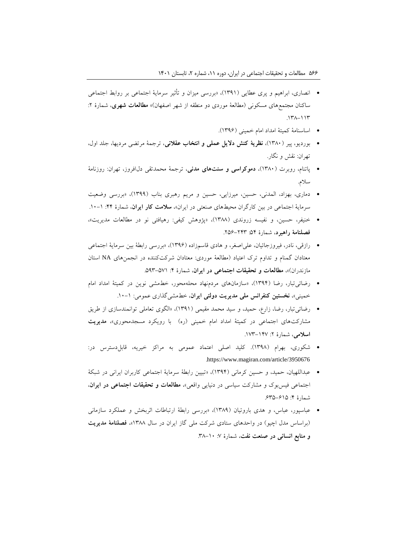- انصاری، ابراهیم و پری عطایی )1391(، »بررسی میزان و تأثیر سرمایۀ اجتماعی بر روابط اجتماعی ساکنان مجتمعهای مسکونی (مطالعۀ موردی دو منطقه از شهر اصفهان)» **مطالعات شهری**، شمارۀ ۲:  $.147 - 117$ 
	- اساسنامۀ کمیتۀ امداد امام خمینی )1396(.
- بوردیو، پیر )1380(، **نظریۀ کنش دالی عملی و انتخا عقالنی**، ترجمۀ مرتضی مردیها، جلد اول، تهران: نقش و نگار.
- پاتنام، روبرت )1380(، **دموکراسی و سنتهای مدنی**، ترجمۀ محمدتقی دلافروز، تهران: روزنامۀ سالم.
- دماری، بهزاد، المدنی، حسین، میرزایی، حسین و مریم رهبری بناب )1399(، »بررسی وضعیت سرمایۀ اجتماعی در بین کارگران محیطهای صنعتی در ایران»، **سلامت کار ایران**، شمارۀ ۴۴: ۱-۱۰.
- خنیفر، حسین، و نفیسه زروندی )1388(، »پژوهش کیفی: رهیافتی نو در مطالعات مدیریت«، **فصلنامۀ راهبرد**، شمارۀ :54 .256-243
- رازقی، نادر، فیروزجائیان، علیاصغر، و هادی قاسمزاده )1396(، »بررسی رابطۀ بین سرمایۀ اجتماعی معتادان گمنام و تداوم ترک اعتیاد )مطالعۀ موردی: معتادان شرکتکننده در انجمنهای NA استان مازندران)»، مطالعات و تحقیقات اجتماعی در ایران، شمارۀ ۴: ۵۷۱–۵۹۳.
- رضائیتبار، رضا )1394(، »سازمانهای مردمنهاد محلهمحور، خطمشی نوین در کمیتۀ امداد امام خمینی«، **نخستین کنفرانس ملی مدیریت دولتی ایران**، خطمشیگذاری عمومی: .10-1
- رضائیتبار، رضا، زارع، حمید، و سید محمد مقیمی )1391(، »الگوی تعاملی توانمندسازی از طریق مشارکتهای اجتماعی در کمیتۀ امداد امام خمینی )ره( با رویکرد مسجدمحوری«، **مدیریت اسالمی**، شمارۀ :2 .173-147
- شکوری، بهرام )1398(. کلید اصلی اعتماد عمومی به مراکز خیریه، قابلدسترس در: .https://www.magiran.com/article/3950676
- عبداللهیان، حمید، و حسین کرمانی )1394(، »تبیین رابطۀ سرمایۀ اجتماعی کاربران ایرانی در شبکۀ اجتماعی فیسبوک و مشارکت سیاسی در دنیایی واقعی«، **مطالعات و تحقیقات اجتماعی در ایران**، شمارۀ ۴: ۶۳۵-۶۳۵.
- عباسپور، عباس، و هدی باروتیان )1389(، »بررسی رابطۀ ارتباطات اثربخش و عملکرد سازمانی )براساس مدل اچیو( در واحدهای ستادی شرکت ملی گاز ایران در سال 1388«، **فصلنامۀ مدیریت و منابع انسانی در صنعت نفت**، شمارۀ :7 .38-10